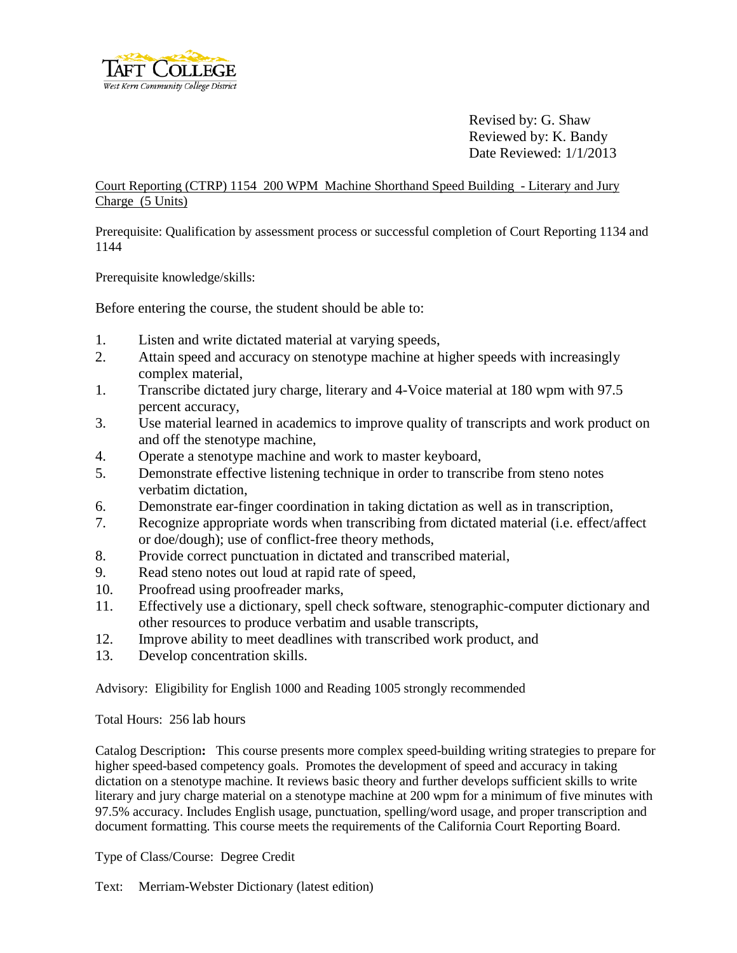

Revised by: G. Shaw Reviewed by: K. Bandy Date Reviewed: 1/1/2013

Court Reporting (CTRP) 1154 200 WPM Machine Shorthand Speed Building - Literary and Jury Charge (5 Units)

Prerequisite: Qualification by assessment process or successful completion of Court Reporting 1134 and 1144

Prerequisite knowledge/skills:

Before entering the course, the student should be able to:

- 1. Listen and write dictated material at varying speeds,
- 2. Attain speed and accuracy on stenotype machine at higher speeds with increasingly complex material,
- 1. Transcribe dictated jury charge, literary and 4-Voice material at 180 wpm with 97.5 percent accuracy,
- 3. Use material learned in academics to improve quality of transcripts and work product on and off the stenotype machine,
- 4. Operate a stenotype machine and work to master keyboard,
- 5. Demonstrate effective listening technique in order to transcribe from steno notes verbatim dictation,
- 6. Demonstrate ear-finger coordination in taking dictation as well as in transcription,
- 7. Recognize appropriate words when transcribing from dictated material (i.e. effect/affect or doe/dough); use of conflict-free theory methods,
- 8. Provide correct punctuation in dictated and transcribed material,
- 9. Read steno notes out loud at rapid rate of speed,
- 10. Proofread using proofreader marks,
- 11. Effectively use a dictionary, spell check software, stenographic-computer dictionary and other resources to produce verbatim and usable transcripts,
- 12. Improve ability to meet deadlines with transcribed work product, and
- 13. Develop concentration skills.

Advisory: Eligibility for English 1000 and Reading 1005 strongly recommended

Total Hours: 256 lab hours

Catalog Description**:** This course presents more complex speed-building writing strategies to prepare for higher speed-based competency goals. Promotes the development of speed and accuracy in taking dictation on a stenotype machine. It reviews basic theory and further develops sufficient skills to write literary and jury charge material on a stenotype machine at 200 wpm for a minimum of five minutes with 97.5% accuracy. Includes English usage, punctuation, spelling/word usage, and proper transcription and document formatting. This course meets the requirements of the California Court Reporting Board.

Type of Class/Course: Degree Credit

Text: Merriam-Webster Dictionary (latest edition)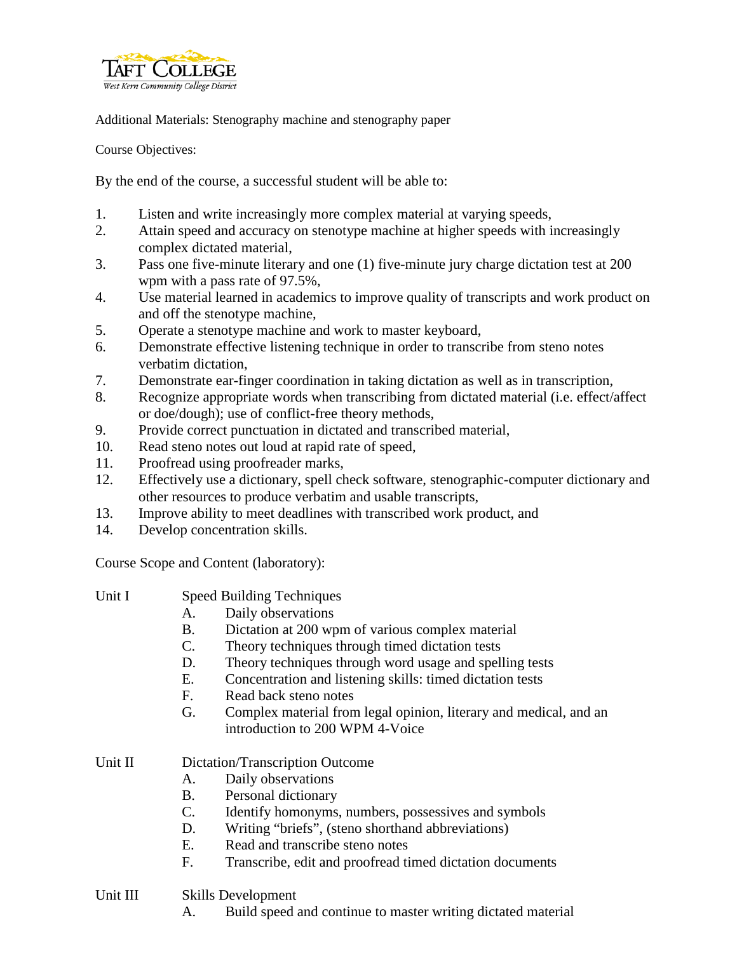

Additional Materials: Stenography machine and stenography paper

Course Objectives:

By the end of the course, a successful student will be able to:

- 1. Listen and write increasingly more complex material at varying speeds,
- 2. Attain speed and accuracy on stenotype machine at higher speeds with increasingly complex dictated material,
- 3. Pass one five-minute literary and one (1) five-minute jury charge dictation test at 200 wpm with a pass rate of 97.5%,
- 4. Use material learned in academics to improve quality of transcripts and work product on and off the stenotype machine,
- 5. Operate a stenotype machine and work to master keyboard,
- 6. Demonstrate effective listening technique in order to transcribe from steno notes verbatim dictation,
- 7. Demonstrate ear-finger coordination in taking dictation as well as in transcription,
- 8. Recognize appropriate words when transcribing from dictated material (i.e. effect/affect or doe/dough); use of conflict-free theory methods,
- 9. Provide correct punctuation in dictated and transcribed material,
- 10. Read steno notes out loud at rapid rate of speed,
- 11. Proofread using proofreader marks,
- 12. Effectively use a dictionary, spell check software, stenographic-computer dictionary and other resources to produce verbatim and usable transcripts,
- 13. Improve ability to meet deadlines with transcribed work product, and
- 14. Develop concentration skills.

Course Scope and Content (laboratory):

| Unit I | <b>Speed Building Techniques</b> |  |
|--------|----------------------------------|--|
|        |                                  |  |

- A. Daily observations
- B. Dictation at 200 wpm of various complex material
- C. Theory techniques through timed dictation tests
- D. Theory techniques through word usage and spelling tests
- E. Concentration and listening skills: timed dictation tests
- F. Read back steno notes
- G. Complex material from legal opinion, literary and medical, and an introduction to 200 WPM 4-Voice
- Unit II Dictation/Transcription Outcome
	- A. Daily observations
	- B. Personal dictionary
	- C. Identify homonyms, numbers, possessives and symbols
	- D. Writing "briefs", (steno shorthand abbreviations)
	- E. Read and transcribe steno notes
	- F. Transcribe, edit and proofread timed dictation documents

## Unit III Skills Development

A. Build speed and continue to master writing dictated material